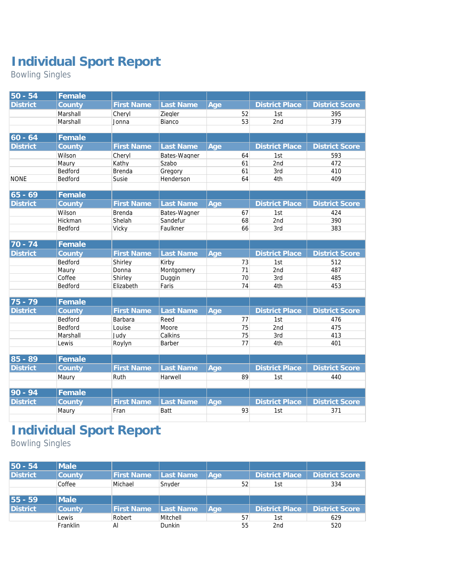## **Individual Sport Report**

Bowling Singles

| $50 - 54$                       | Female   |                   |              |     |    |                       |                       |
|---------------------------------|----------|-------------------|--------------|-----|----|-----------------------|-----------------------|
| <b>District</b>                 | County   | <b>First Name</b> | Last Name    | Age |    | <b>District Place</b> | <b>District Score</b> |
|                                 | Marshall | Cheryl            | Ziegler      |     | 52 | 1st                   | 395                   |
|                                 | Marshall | Jonna             | Bianco       |     | 53 | 2nd                   | 379                   |
|                                 |          |                   |              |     |    |                       |                       |
| $ 60 - 64$                      | Female   |                   |              |     |    |                       |                       |
| <b>District</b>                 | County   | <b>First Name</b> | Last Name    | Age |    | <b>District Place</b> | <b>District Score</b> |
|                                 | Wilson   | Cheryl            | Bates-Wagner |     | 64 | 1st                   | 593                   |
|                                 | Maury    | Kathy             | Szabo        |     | 61 | 2nd                   | 472                   |
|                                 | Bedford  | <b>Brenda</b>     | Gregory      |     | 61 | 3rd                   | 410                   |
| <b>NONE</b>                     | Bedford  | Susie             | Henderson    |     | 64 | 4th                   | 409                   |
|                                 |          |                   |              |     |    |                       |                       |
| $65 - 69$                       | Female   |                   |              |     |    |                       |                       |
| <b>District</b>                 | County   | <b>First Name</b> | Last Name    | Age |    | <b>District Place</b> | <b>District Score</b> |
|                                 | Wilson   | <b>Brenda</b>     | Bates-Wagner |     | 67 | 1st                   | 424                   |
|                                 | Hickman  | Shelah            | Sandefur     |     | 68 | 2nd                   | 390                   |
|                                 | Bedford  | Vicky             | Faulkner     |     | 66 | 3rd                   | 383                   |
|                                 |          |                   |              |     |    |                       |                       |
| $\overline{70} - \overline{74}$ | Female   |                   |              |     |    |                       |                       |
| <b>District</b>                 | County   | <b>First Name</b> | Last Name    | Age |    | <b>District Place</b> | <b>District Score</b> |
|                                 | Bedford  | Shirley           | Kirby        |     | 73 | 1st                   | 512                   |
|                                 | Maury    | Donna             | Montgomery   |     | 71 | 2nd                   | 487                   |
|                                 | Coffee   | Shirley           | Duggin       |     | 70 | 3rd                   | 485                   |
|                                 | Bedford  | Elizabeth         | Faris        |     | 74 | 4th                   | 453                   |
|                                 |          |                   |              |     |    |                       |                       |
| $75 - 79$                       | Female   |                   |              |     |    |                       |                       |
| <b>District</b>                 | County   | <b>First Name</b> | Last Name    | Age |    | <b>District Place</b> | <b>District Score</b> |
|                                 | Bedford  | Barbara           | Reed         |     | 77 | 1st                   | 476                   |
|                                 | Bedford  | Louise            | Moore        |     | 75 | 2nd                   | 475                   |
|                                 | Marshall | Judy              | Calkins      |     | 75 | 3rd                   | 413                   |
|                                 | Lewis    | Roylyn            | Barber       |     | 77 | 4th                   | 401                   |
|                                 |          |                   |              |     |    |                       |                       |
| $85 - 89$                       | Female   |                   |              |     |    |                       |                       |
| <b>District</b>                 | County   | <b>First Name</b> | Last Name    | Age |    | <b>District Place</b> | <b>District Score</b> |
|                                 | Maury    | Ruth              | Harwell      |     | 89 | 1st                   | 440                   |
|                                 |          |                   |              |     |    |                       |                       |
| $90 - 94$                       | Female   |                   |              |     |    |                       |                       |
| <b>District</b>                 | County   | <b>First Name</b> | Last Name    | Age |    | <b>District Place</b> | <b>District Score</b> |
|                                 | Maury    | Fran              | Batt         |     | 93 | 1st                   | 371                   |
|                                 |          |                   |              |     |    |                       |                       |

## **Individual Sport Report**

Bowling Singles

| $50 - 54$       | Male          |                   |           |     |    |                 |                       |
|-----------------|---------------|-------------------|-----------|-----|----|-----------------|-----------------------|
| <b>District</b> | County        | <b>First Name</b> | Last Name | Age |    | District Place  | <b>District Score</b> |
|                 | Coffee        | Michael           | Snyder    |     | 52 | 1st             | 334                   |
|                 |               |                   |           |     |    |                 |                       |
| 55 - 59         | Male          |                   |           |     |    |                 |                       |
| <b>District</b> | <b>County</b> | <b>First Name</b> | Last Name | Age |    | District Place  | <b>District Score</b> |
|                 | Lewis         | Robert            | Mitchell  |     | 57 | 1st             | 629                   |
|                 | Franklin      | Al                | Dunkin    |     | 55 | 2 <sub>nd</sub> | 520                   |